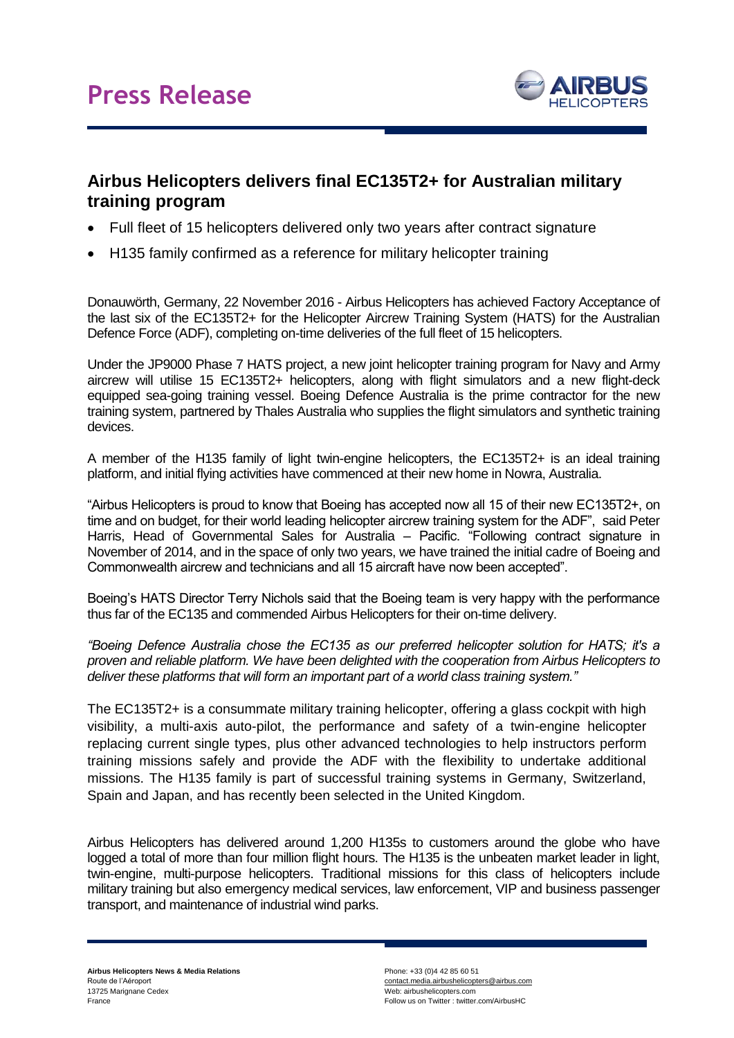

## **Airbus Helicopters delivers final EC135T2+ for Australian military training program**

- Full fleet of 15 helicopters delivered only two years after contract signature
- H135 family confirmed as a reference for military helicopter training

Donauwörth, Germany, 22 November 2016 - Airbus Helicopters has achieved Factory Acceptance of the last six of the EC135T2+ for the Helicopter Aircrew Training System (HATS) for the Australian Defence Force (ADF), completing on-time deliveries of the full fleet of 15 helicopters.

Under the JP9000 Phase 7 HATS project, a new joint helicopter training program for Navy and Army aircrew will utilise 15 EC135T2+ helicopters, along with flight simulators and a new flight-deck equipped sea-going training vessel. Boeing Defence Australia is the prime contractor for the new training system, partnered by Thales Australia who supplies the flight simulators and synthetic training devices.

A member of the H135 family of light twin-engine helicopters, the EC135T2+ is an ideal training platform, and initial flying activities have commenced at their new home in Nowra, Australia.

"Airbus Helicopters is proud to know that Boeing has accepted now all 15 of their new EC135T2+, on time and on budget, for their world leading helicopter aircrew training system for the ADF", said Peter Harris, Head of Governmental Sales for Australia – Pacific. "Following contract signature in November of 2014, and in the space of only two years, we have trained the initial cadre of Boeing and Commonwealth aircrew and technicians and all 15 aircraft have now been accepted".

Boeing's HATS Director Terry Nichols said that the Boeing team is very happy with the performance thus far of the EC135 and commended Airbus Helicopters for their on-time delivery.

*"Boeing Defence Australia chose the EC135 as our preferred helicopter solution for HATS; it's a proven and reliable platform. We have been delighted with the cooperation from Airbus Helicopters to deliver these platforms that will form an important part of a world class training system."*

The EC135T2+ is a consummate military training helicopter, offering a glass cockpit with high visibility, a multi-axis auto-pilot, the performance and safety of a twin-engine helicopter replacing current single types, plus other advanced technologies to help instructors perform training missions safely and provide the ADF with the flexibility to undertake additional missions. The H135 family is part of successful training systems in Germany, Switzerland, Spain and Japan, and has recently been selected in the United Kingdom.

Airbus Helicopters has delivered around 1,200 H135s to customers around the globe who have logged a total of more than four million flight hours. The H135 is the unbeaten market leader in light, twin-engine, multi-purpose helicopters. Traditional missions for this class of helicopters include military training but also emergency medical services, law enforcement, VIP and business passenger transport, and maintenance of industrial wind parks.